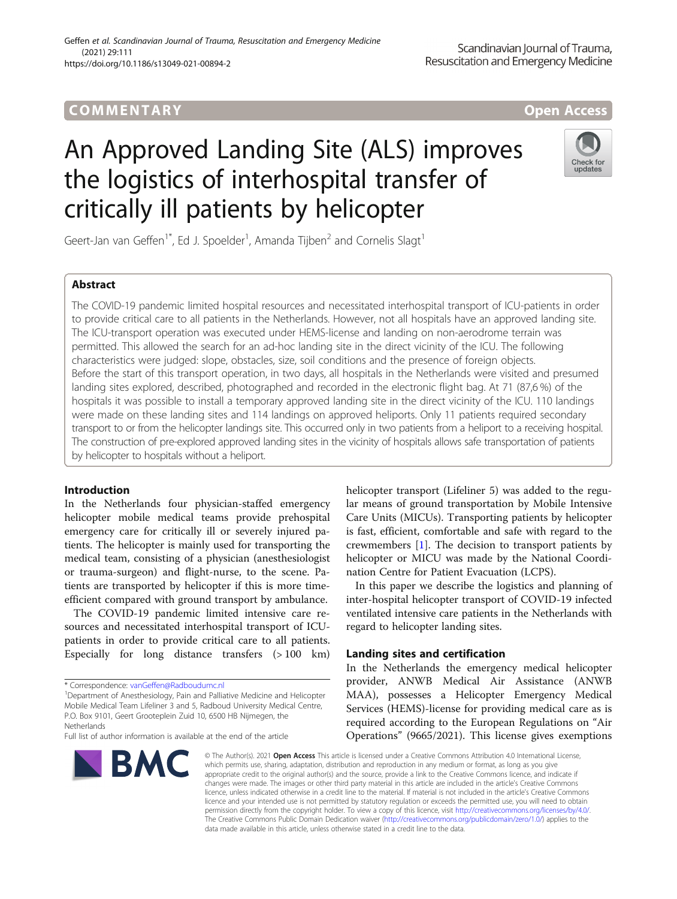# An Approved Landing Site (ALS) improves the logistics of interhospital transfer of critically ill patients by helicopter

Geert-Jan van Geffen $^{\text{1*}}$ , Ed J. Spoelder $^{\text{1}}$ , Amanda Tijben $^{\text{2}}$  and Cornelis Slagt $^{\text{1}}$ 

## Abstract

The COVID-19 pandemic limited hospital resources and necessitated interhospital transport of ICU-patients in order to provide critical care to all patients in the Netherlands. However, not all hospitals have an approved landing site. The ICU-transport operation was executed under HEMS-license and landing on non-aerodrome terrain was permitted. This allowed the search for an ad-hoc landing site in the direct vicinity of the ICU. The following characteristics were judged: slope, obstacles, size, soil conditions and the presence of foreign objects. Before the start of this transport operation, in two days, all hospitals in the Netherlands were visited and presumed landing sites explored, described, photographed and recorded in the electronic flight bag. At 71 (87,6 %) of the hospitals it was possible to install a temporary approved landing site in the direct vicinity of the ICU. 110 landings were made on these landing sites and 114 landings on approved heliports. Only 11 patients required secondary transport to or from the helicopter landings site. This occurred only in two patients from a heliport to a receiving hospital. The construction of pre-explored approved landing sites in the vicinity of hospitals allows safe transportation of patients by helicopter to hospitals without a heliport.

## Introduction

In the Netherlands four physician-staffed emergency helicopter mobile medical teams provide prehospital emergency care for critically ill or severely injured patients. The helicopter is mainly used for transporting the medical team, consisting of a physician (anesthesiologist or trauma-surgeon) and flight-nurse, to the scene. Patients are transported by helicopter if this is more timeefficient compared with ground transport by ambulance.

The COVID-19 pandemic limited intensive care resources and necessitated interhospital transport of ICUpatients in order to provide critical care to all patients. Especially for long distance transfers (> 100 km)

\* Correspondence: [vanGeffen@Radboudumc.nl](mailto:vanGeffen@Radboudumc.nl) <sup>1</sup>

<sup>1</sup>Department of Anesthesiology, Pain and Palliative Medicine and Helicopter Mobile Medical Team Lifeliner 3 and 5, Radboud University Medical Centre, P.O. Box 9101, Geert Grooteplein Zuid 10, 6500 HB Nijmegen, the **Netherlands** 

Full list of author information is available at the end of the article

## helicopter transport (Lifeliner 5) was added to the regular means of ground transportation by Mobile Intensive Care Units (MICUs). Transporting patients by helicopter is fast, efficient, comfortable and safe with regard to the crewmembers [[1\]](#page-3-0). The decision to transport patients by helicopter or MICU was made by the National Coordination Centre for Patient Evacuation (LCPS).

In this paper we describe the logistics and planning of inter-hospital helicopter transport of COVID-19 infected ventilated intensive care patients in the Netherlands with regard to helicopter landing sites.

## Landing sites and certification

In the Netherlands the emergency medical helicopter provider, ANWB Medical Air Assistance (ANWB MAA), possesses a Helicopter Emergency Medical Services (HEMS)-license for providing medical care as is required according to the European Regulations on "Air Operations" (9665/2021). This license gives exemptions

© The Author(s). 2021 Open Access This article is licensed under a Creative Commons Attribution 4.0 International License, which permits use, sharing, adaptation, distribution and reproduction in any medium or format, as long as you give appropriate credit to the original author(s) and the source, provide a link to the Creative Commons licence, and indicate if changes were made. The images or other third party material in this article are included in the article's Creative Commons licence, unless indicated otherwise in a credit line to the material. If material is not included in the article's Creative Commons licence and your intended use is not permitted by statutory regulation or exceeds the permitted use, you will need to obtain permission directly from the copyright holder. To view a copy of this licence, visit [http://creativecommons.org/licenses/by/4.0/.](http://creativecommons.org/licenses/by/4.0/) The Creative Commons Public Domain Dedication waiver [\(http://creativecommons.org/publicdomain/zero/1.0/](http://creativecommons.org/publicdomain/zero/1.0/)) applies to the data made available in this article, unless otherwise stated in a credit line to the data.

https://doi.org/10.1186/s13049-021-00894-2

COMM EN TARY Open Access



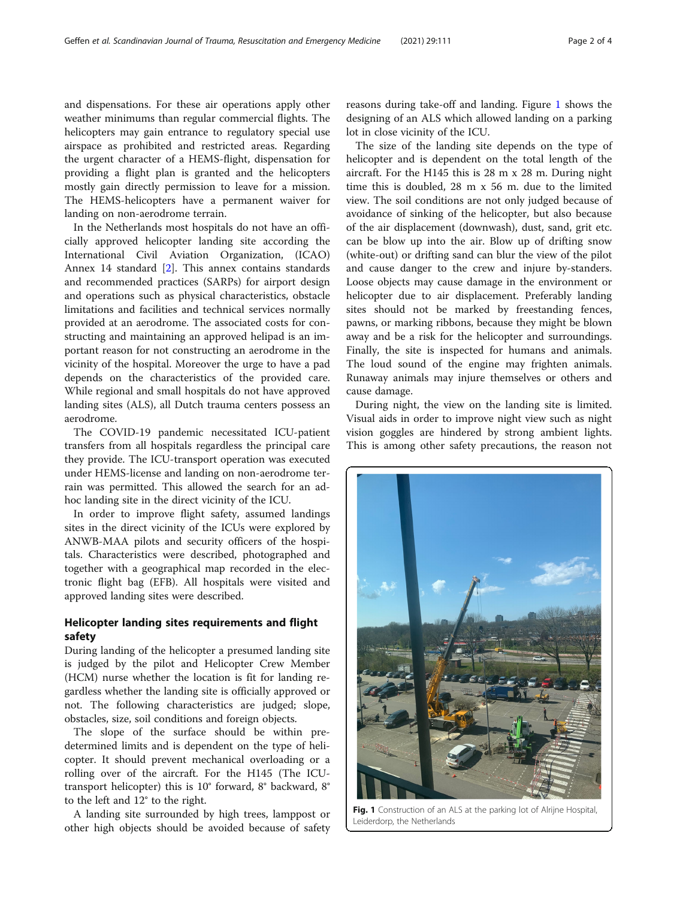and dispensations. For these air operations apply other weather minimums than regular commercial flights. The helicopters may gain entrance to regulatory special use airspace as prohibited and restricted areas. Regarding the urgent character of a HEMS-flight, dispensation for providing a flight plan is granted and the helicopters mostly gain directly permission to leave for a mission. The HEMS-helicopters have a permanent waiver for landing on non-aerodrome terrain.

In the Netherlands most hospitals do not have an officially approved helicopter landing site according the International Civil Aviation Organization, (ICAO) Annex 14 standard [[2\]](#page-3-0). This annex contains standards and recommended practices (SARPs) for airport design and operations such as physical characteristics, obstacle limitations and facilities and technical services normally provided at an aerodrome. The associated costs for constructing and maintaining an approved helipad is an important reason for not constructing an aerodrome in the vicinity of the hospital. Moreover the urge to have a pad depends on the characteristics of the provided care. While regional and small hospitals do not have approved landing sites (ALS), all Dutch trauma centers possess an aerodrome.

The COVID-19 pandemic necessitated ICU-patient transfers from all hospitals regardless the principal care they provide. The ICU-transport operation was executed under HEMS-license and landing on non-aerodrome terrain was permitted. This allowed the search for an adhoc landing site in the direct vicinity of the ICU.

In order to improve flight safety, assumed landings sites in the direct vicinity of the ICUs were explored by ANWB-MAA pilots and security officers of the hospitals. Characteristics were described, photographed and together with a geographical map recorded in the electronic flight bag (EFB). All hospitals were visited and approved landing sites were described.

## Helicopter landing sites requirements and flight safety

During landing of the helicopter a presumed landing site is judged by the pilot and Helicopter Crew Member (HCM) nurse whether the location is fit for landing regardless whether the landing site is officially approved or not. The following characteristics are judged; slope, obstacles, size, soil conditions and foreign objects.

The slope of the surface should be within predetermined limits and is dependent on the type of helicopter. It should prevent mechanical overloading or a rolling over of the aircraft. For the H145 (The ICUtransport helicopter) this is 10° forward, 8° backward, 8° to the left and 12° to the right.

A landing site surrounded by high trees, lamppost or other high objects should be avoided because of safety

reasons during take-off and landing. Figure 1 shows the designing of an ALS which allowed landing on a parking lot in close vicinity of the ICU.

The size of the landing site depends on the type of helicopter and is dependent on the total length of the aircraft. For the H145 this is 28 m x 28 m. During night time this is doubled, 28 m x 56 m. due to the limited view. The soil conditions are not only judged because of avoidance of sinking of the helicopter, but also because of the air displacement (downwash), dust, sand, grit etc. can be blow up into the air. Blow up of drifting snow (white-out) or drifting sand can blur the view of the pilot and cause danger to the crew and injure by-standers. Loose objects may cause damage in the environment or helicopter due to air displacement. Preferably landing sites should not be marked by freestanding fences, pawns, or marking ribbons, because they might be blown away and be a risk for the helicopter and surroundings. Finally, the site is inspected for humans and animals. The loud sound of the engine may frighten animals. Runaway animals may injure themselves or others and cause damage.

During night, the view on the landing site is limited. Visual aids in order to improve night view such as night vision goggles are hindered by strong ambient lights. This is among other safety precautions, the reason not

Fig. 1 Construction of an ALS at the parking lot of Alrijne Hospital, Leiderdorp, the Netherlands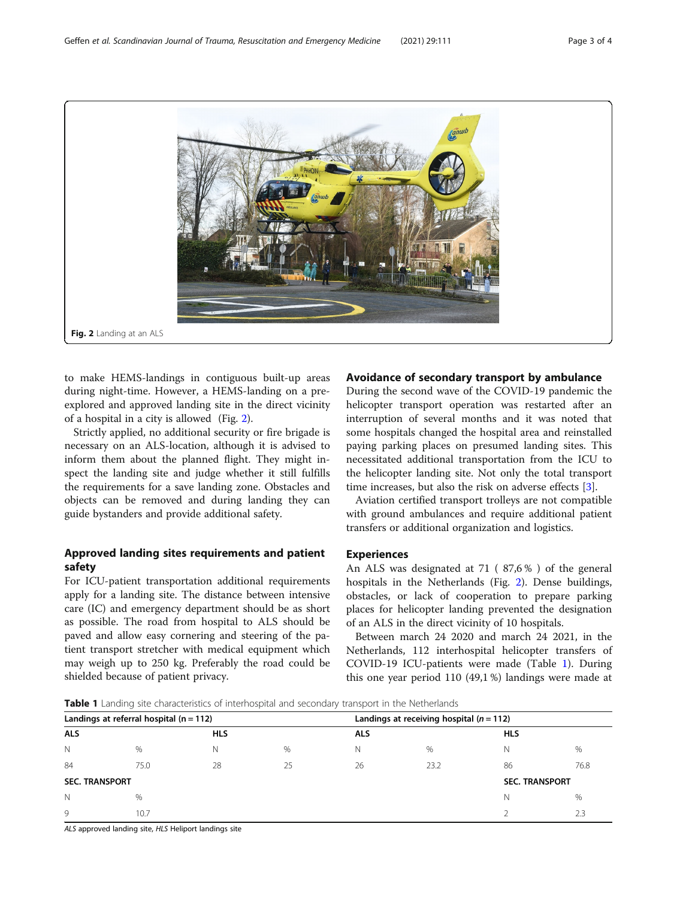

to make HEMS-landings in contiguous built-up areas during night-time. However, a HEMS-landing on a preexplored and approved landing site in the direct vicinity of a hospital in a city is allowed (Fig. 2).

Strictly applied, no additional security or fire brigade is necessary on an ALS-location, although it is advised to inform them about the planned flight. They might inspect the landing site and judge whether it still fulfills the requirements for a save landing zone. Obstacles and objects can be removed and during landing they can guide bystanders and provide additional safety.

## Approved landing sites requirements and patient safety

For ICU-patient transportation additional requirements apply for a landing site. The distance between intensive care (IC) and emergency department should be as short as possible. The road from hospital to ALS should be paved and allow easy cornering and steering of the patient transport stretcher with medical equipment which may weigh up to 250 kg. Preferably the road could be shielded because of patient privacy.

### Avoidance of secondary transport by ambulance

During the second wave of the COVID-19 pandemic the helicopter transport operation was restarted after an interruption of several months and it was noted that some hospitals changed the hospital area and reinstalled paying parking places on presumed landing sites. This necessitated additional transportation from the ICU to the helicopter landing site. Not only the total transport time increases, but also the risk on adverse effects [[3\]](#page-3-0).

Aviation certified transport trolleys are not compatible with ground ambulances and require additional patient transfers or additional organization and logistics.

#### **Experiences**

An ALS was designated at 71 ( 87,6 % ) of the general hospitals in the Netherlands (Fig. 2). Dense buildings, obstacles, or lack of cooperation to prepare parking places for helicopter landing prevented the designation of an ALS in the direct vicinity of 10 hospitals.

Between march 24 2020 and march 24 2021, in the Netherlands, 112 interhospital helicopter transfers of COVID-19 ICU-patients were made (Table 1). During this one year period 110 (49,1 %) landings were made at

**Table 1** Landing site characteristics of interhospital and secondary transport in the Netherlands

| Landings at referral hospital $(n = 112)$ |      |            |    | Landings at receiving hospital ( $n = 112$ ) |      |                       |      |
|-------------------------------------------|------|------------|----|----------------------------------------------|------|-----------------------|------|
| <b>ALS</b>                                |      | <b>HLS</b> |    | <b>ALS</b>                                   |      | <b>HLS</b>            |      |
| $\mathbb N$                               | $\%$ | N          | %  | N                                            | %    | N                     | %    |
| 84                                        | 75.0 | 28         | 25 | 26                                           | 23.2 | 86                    | 76.8 |
| <b>SEC. TRANSPORT</b>                     |      |            |    |                                              |      | <b>SEC. TRANSPORT</b> |      |
| N                                         | %    |            |    |                                              |      | Ν                     | %    |
| 9                                         | 10.7 |            |    |                                              |      |                       | 2.3  |

ALS approved landing site, HLS Heliport landings site